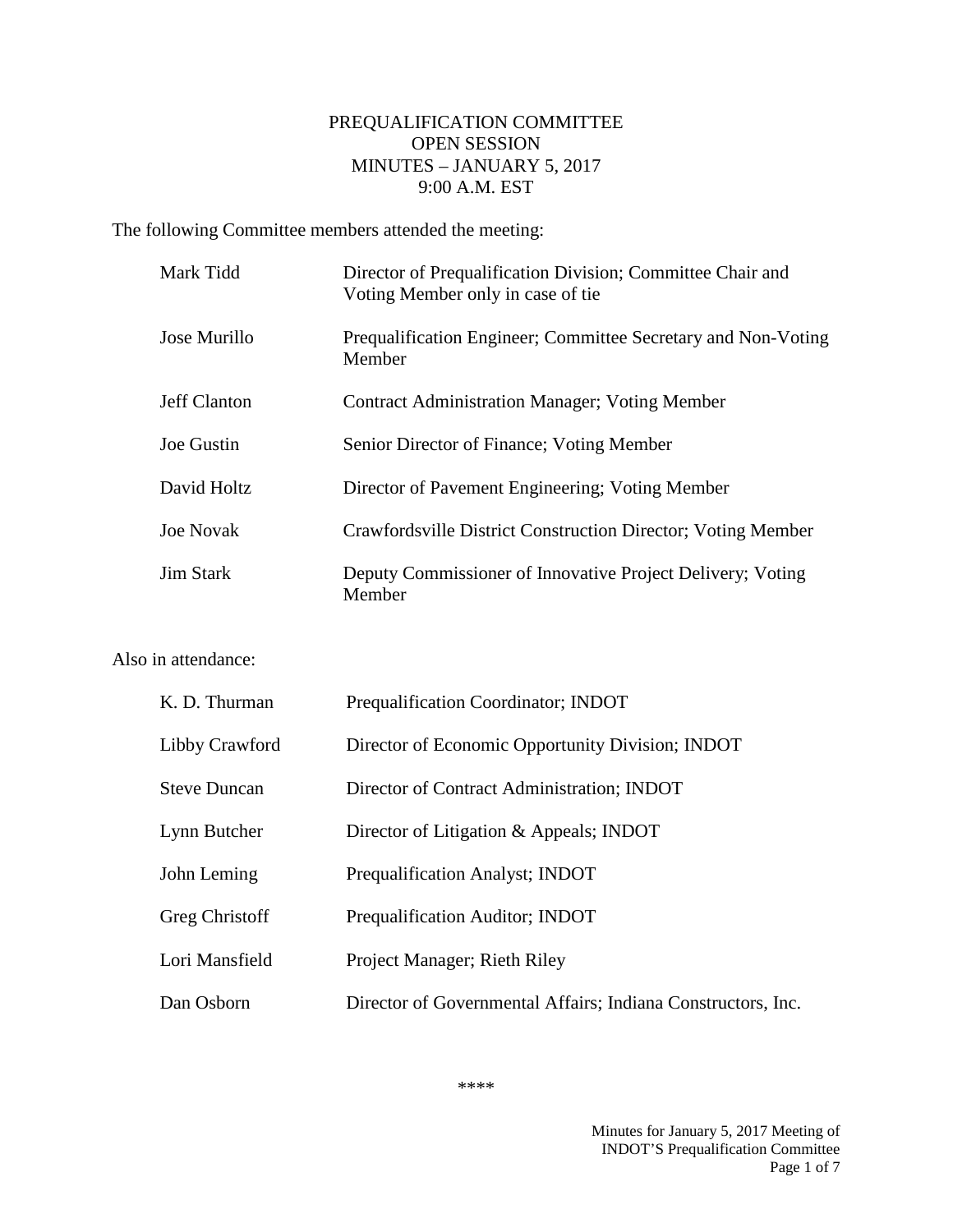## PREQUALIFICATION COMMITTEE OPEN SESSION MINUTES – JANUARY 5, 2017 9:00 A.M. EST

The following Committee members attended the meeting:

| Mark Tidd           | Director of Prequalification Division; Committee Chair and<br>Voting Member only in case of tie |
|---------------------|-------------------------------------------------------------------------------------------------|
| Jose Murillo        | Prequalification Engineer; Committee Secretary and Non-Voting<br>Member                         |
| <b>Jeff Clanton</b> | <b>Contract Administration Manager; Voting Member</b>                                           |
| Joe Gustin          | Senior Director of Finance; Voting Member                                                       |
| David Holtz         | Director of Pavement Engineering; Voting Member                                                 |
| <b>Joe Novak</b>    | Crawfordsville District Construction Director; Voting Member                                    |
| <b>Jim Stark</b>    | Deputy Commissioner of Innovative Project Delivery; Voting<br>Member                            |

## Also in attendance:

| K. D. Thurman       | Prequalification Coordinator; INDOT                          |
|---------------------|--------------------------------------------------------------|
| Libby Crawford      | Director of Economic Opportunity Division; INDOT             |
| <b>Steve Duncan</b> | Director of Contract Administration; INDOT                   |
| Lynn Butcher        | Director of Litigation & Appeals; INDOT                      |
| John Leming         | Prequalification Analyst; INDOT                              |
| Greg Christoff      | Prequalification Auditor; INDOT                              |
| Lori Mansfield      | Project Manager; Rieth Riley                                 |
| Dan Osborn          | Director of Governmental Affairs; Indiana Constructors, Inc. |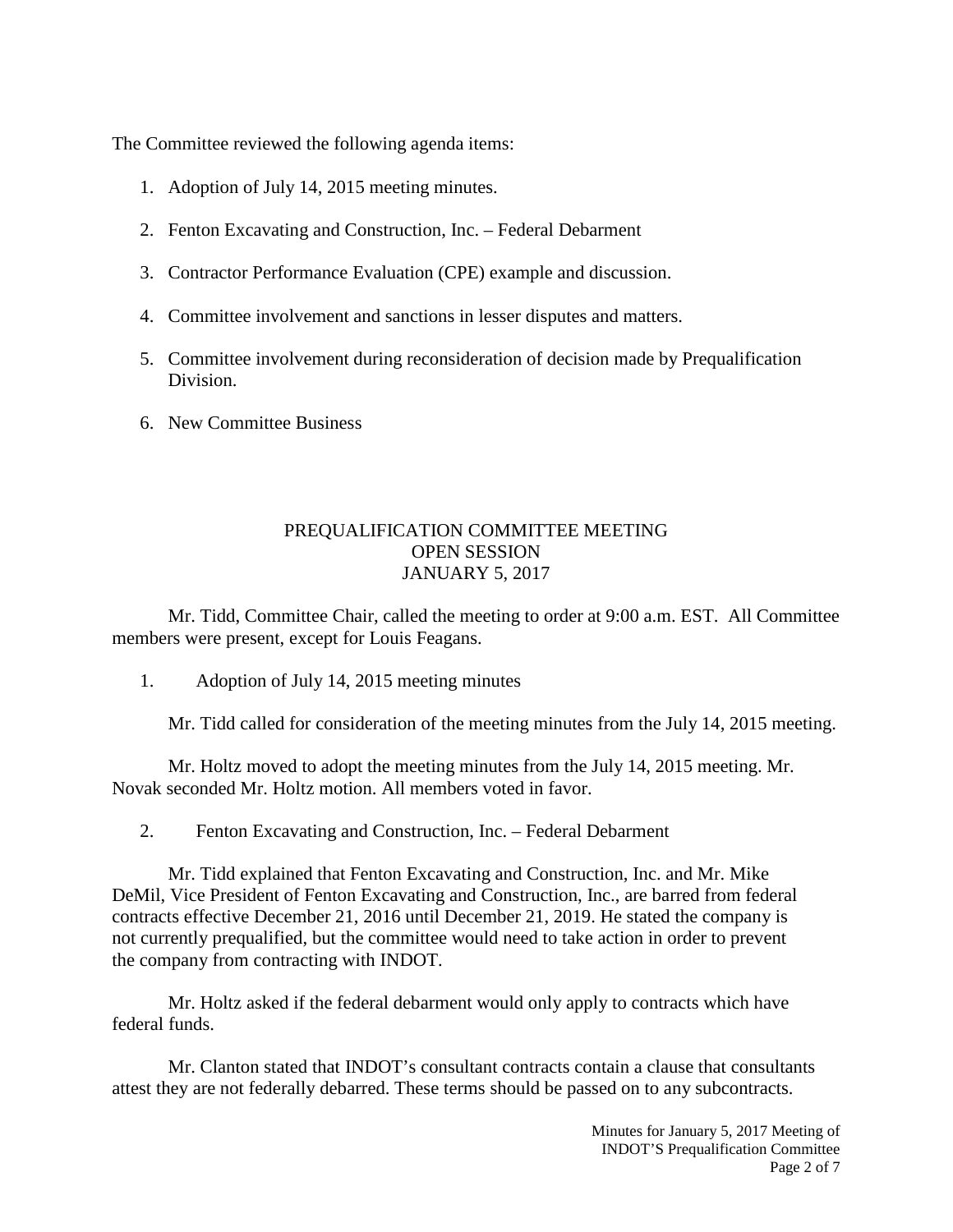The Committee reviewed the following agenda items:

- 1. Adoption of July 14, 2015 meeting minutes.
- 2. Fenton Excavating and Construction, Inc. Federal Debarment
- 3. Contractor Performance Evaluation (CPE) example and discussion.
- 4. Committee involvement and sanctions in lesser disputes and matters.
- 5. Committee involvement during reconsideration of decision made by Prequalification Division.
- 6. New Committee Business

## PREQUALIFICATION COMMITTEE MEETING OPEN SESSION JANUARY 5, 2017

Mr. Tidd, Committee Chair, called the meeting to order at 9:00 a.m. EST. All Committee members were present, except for Louis Feagans.

1. Adoption of July 14, 2015 meeting minutes

Mr. Tidd called for consideration of the meeting minutes from the July 14, 2015 meeting.

Mr. Holtz moved to adopt the meeting minutes from the July 14, 2015 meeting. Mr. Novak seconded Mr. Holtz motion. All members voted in favor.

2. Fenton Excavating and Construction, Inc. – Federal Debarment

Mr. Tidd explained that Fenton Excavating and Construction, Inc. and Mr. Mike DeMil, Vice President of Fenton Excavating and Construction, Inc., are barred from federal contracts effective December 21, 2016 until December 21, 2019. He stated the company is not currently prequalified, but the committee would need to take action in order to prevent the company from contracting with INDOT.

Mr. Holtz asked if the federal debarment would only apply to contracts which have federal funds.

Mr. Clanton stated that INDOT's consultant contracts contain a clause that consultants attest they are not federally debarred. These terms should be passed on to any subcontracts.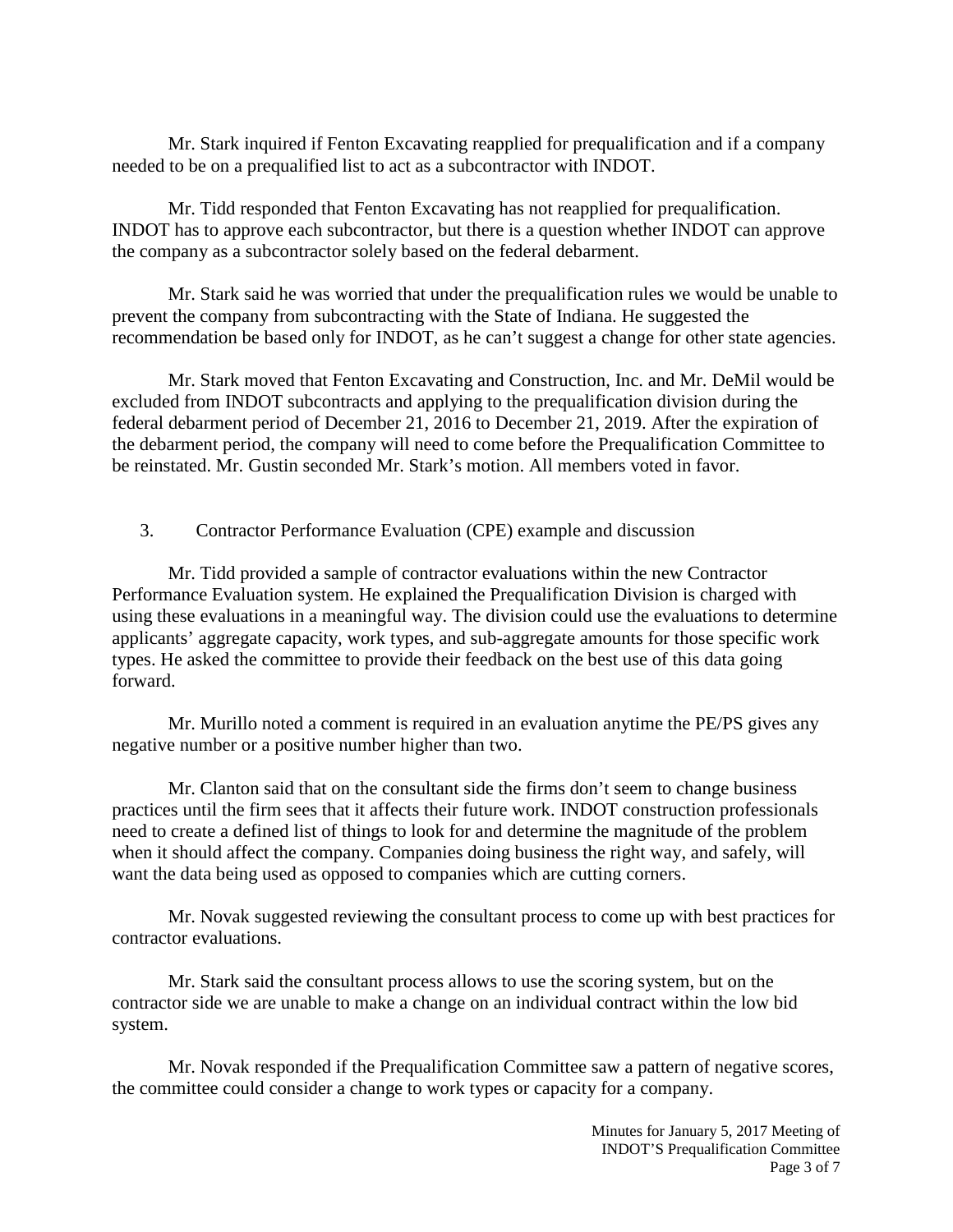Mr. Stark inquired if Fenton Excavating reapplied for prequalification and if a company needed to be on a prequalified list to act as a subcontractor with INDOT.

Mr. Tidd responded that Fenton Excavating has not reapplied for prequalification. INDOT has to approve each subcontractor, but there is a question whether INDOT can approve the company as a subcontractor solely based on the federal debarment.

Mr. Stark said he was worried that under the prequalification rules we would be unable to prevent the company from subcontracting with the State of Indiana. He suggested the recommendation be based only for INDOT, as he can't suggest a change for other state agencies.

Mr. Stark moved that Fenton Excavating and Construction, Inc. and Mr. DeMil would be excluded from INDOT subcontracts and applying to the prequalification division during the federal debarment period of December 21, 2016 to December 21, 2019. After the expiration of the debarment period, the company will need to come before the Prequalification Committee to be reinstated. Mr. Gustin seconded Mr. Stark's motion. All members voted in favor.

3. Contractor Performance Evaluation (CPE) example and discussion

Mr. Tidd provided a sample of contractor evaluations within the new Contractor Performance Evaluation system. He explained the Prequalification Division is charged with using these evaluations in a meaningful way. The division could use the evaluations to determine applicants' aggregate capacity, work types, and sub-aggregate amounts for those specific work types. He asked the committee to provide their feedback on the best use of this data going forward.

Mr. Murillo noted a comment is required in an evaluation anytime the PE/PS gives any negative number or a positive number higher than two.

Mr. Clanton said that on the consultant side the firms don't seem to change business practices until the firm sees that it affects their future work. INDOT construction professionals need to create a defined list of things to look for and determine the magnitude of the problem when it should affect the company. Companies doing business the right way, and safely, will want the data being used as opposed to companies which are cutting corners.

Mr. Novak suggested reviewing the consultant process to come up with best practices for contractor evaluations.

Mr. Stark said the consultant process allows to use the scoring system, but on the contractor side we are unable to make a change on an individual contract within the low bid system.

Mr. Novak responded if the Prequalification Committee saw a pattern of negative scores, the committee could consider a change to work types or capacity for a company.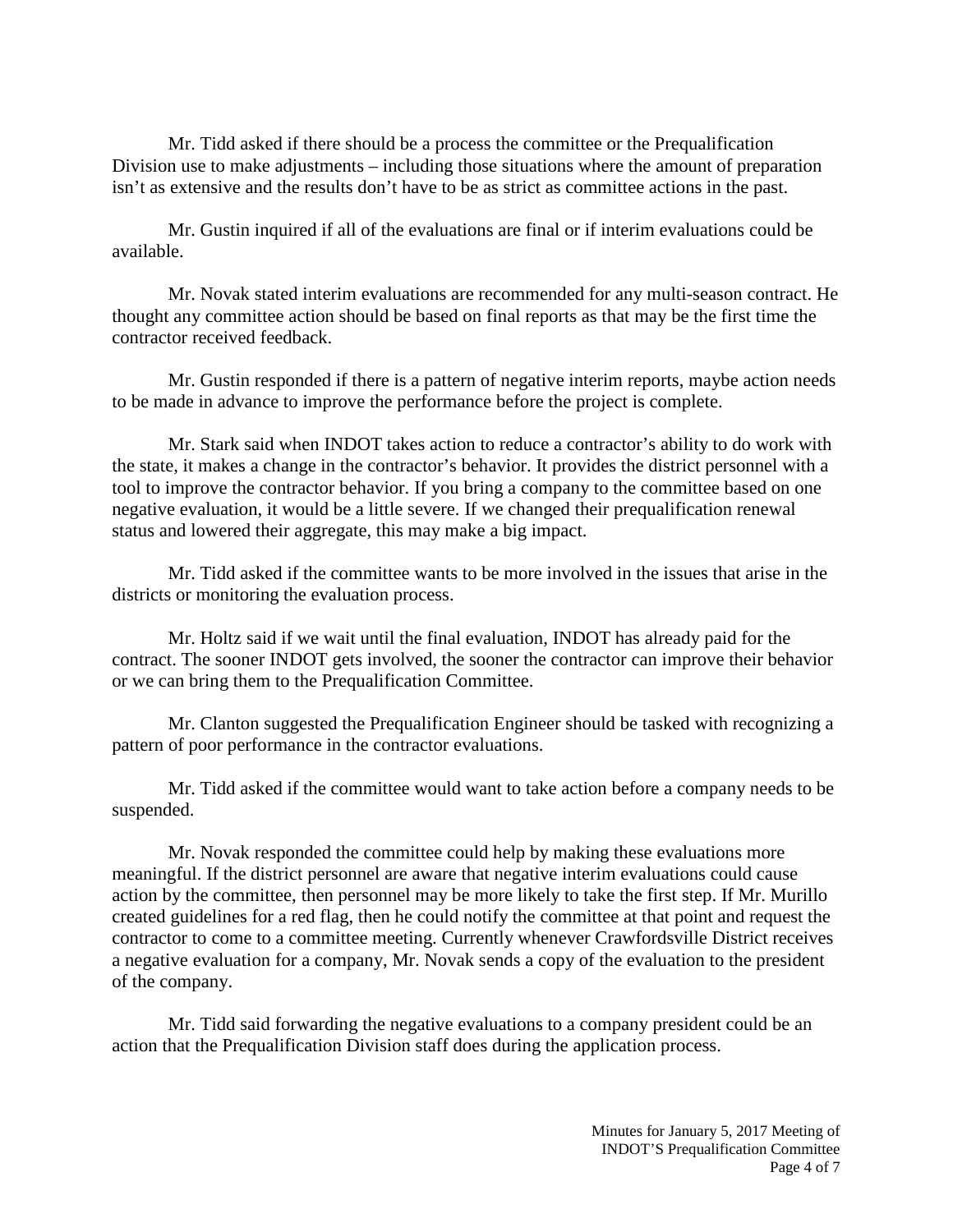Mr. Tidd asked if there should be a process the committee or the Prequalification Division use to make adjustments – including those situations where the amount of preparation isn't as extensive and the results don't have to be as strict as committee actions in the past.

Mr. Gustin inquired if all of the evaluations are final or if interim evaluations could be available.

Mr. Novak stated interim evaluations are recommended for any multi-season contract. He thought any committee action should be based on final reports as that may be the first time the contractor received feedback.

Mr. Gustin responded if there is a pattern of negative interim reports, maybe action needs to be made in advance to improve the performance before the project is complete.

Mr. Stark said when INDOT takes action to reduce a contractor's ability to do work with the state, it makes a change in the contractor's behavior. It provides the district personnel with a tool to improve the contractor behavior. If you bring a company to the committee based on one negative evaluation, it would be a little severe. If we changed their prequalification renewal status and lowered their aggregate, this may make a big impact.

Mr. Tidd asked if the committee wants to be more involved in the issues that arise in the districts or monitoring the evaluation process.

Mr. Holtz said if we wait until the final evaluation, INDOT has already paid for the contract. The sooner INDOT gets involved, the sooner the contractor can improve their behavior or we can bring them to the Prequalification Committee.

Mr. Clanton suggested the Prequalification Engineer should be tasked with recognizing a pattern of poor performance in the contractor evaluations.

Mr. Tidd asked if the committee would want to take action before a company needs to be suspended.

Mr. Novak responded the committee could help by making these evaluations more meaningful. If the district personnel are aware that negative interim evaluations could cause action by the committee, then personnel may be more likely to take the first step. If Mr. Murillo created guidelines for a red flag, then he could notify the committee at that point and request the contractor to come to a committee meeting. Currently whenever Crawfordsville District receives a negative evaluation for a company, Mr. Novak sends a copy of the evaluation to the president of the company.

Mr. Tidd said forwarding the negative evaluations to a company president could be an action that the Prequalification Division staff does during the application process.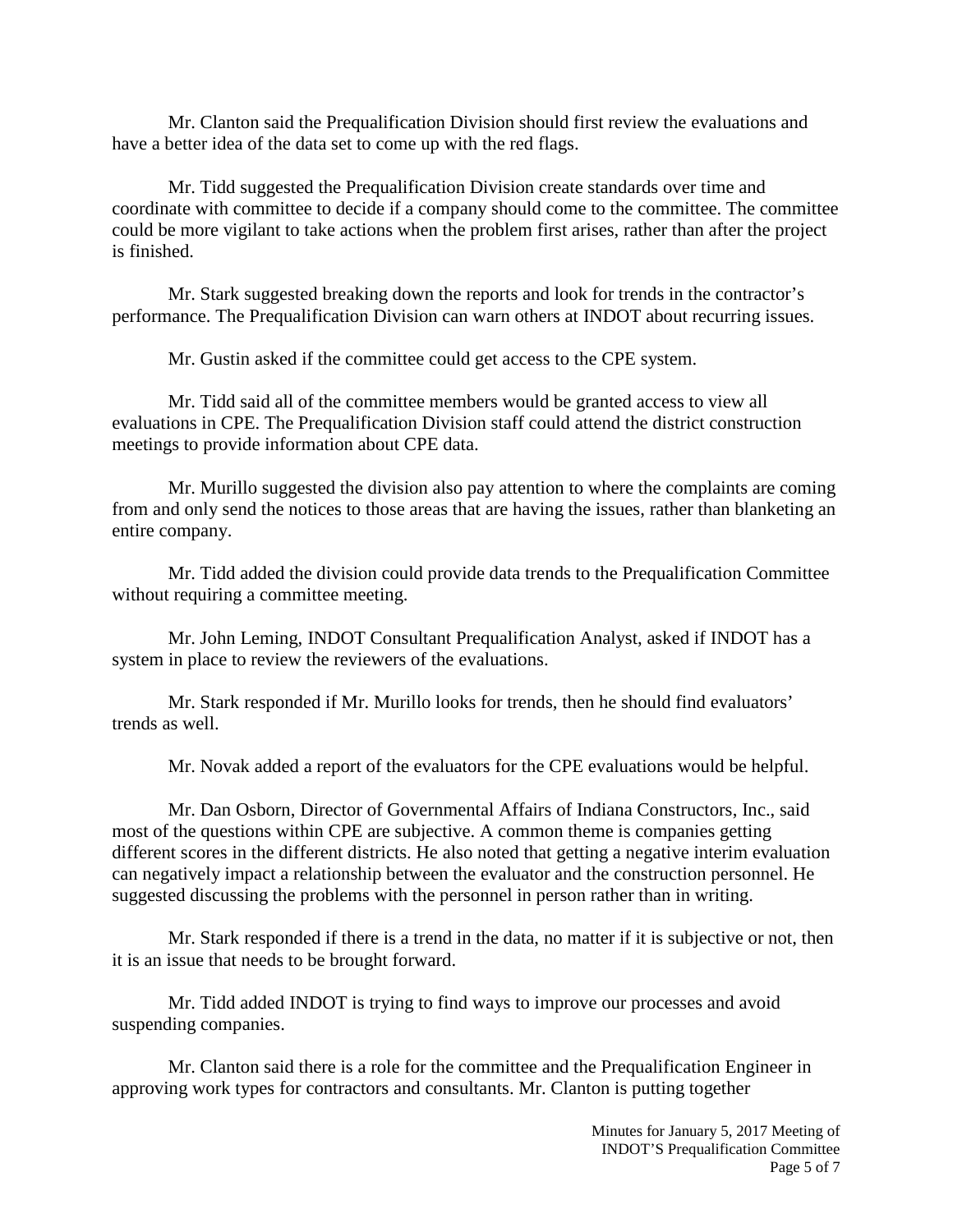Mr. Clanton said the Prequalification Division should first review the evaluations and have a better idea of the data set to come up with the red flags.

Mr. Tidd suggested the Prequalification Division create standards over time and coordinate with committee to decide if a company should come to the committee. The committee could be more vigilant to take actions when the problem first arises, rather than after the project is finished.

Mr. Stark suggested breaking down the reports and look for trends in the contractor's performance. The Prequalification Division can warn others at INDOT about recurring issues.

Mr. Gustin asked if the committee could get access to the CPE system.

Mr. Tidd said all of the committee members would be granted access to view all evaluations in CPE. The Prequalification Division staff could attend the district construction meetings to provide information about CPE data.

Mr. Murillo suggested the division also pay attention to where the complaints are coming from and only send the notices to those areas that are having the issues, rather than blanketing an entire company.

Mr. Tidd added the division could provide data trends to the Prequalification Committee without requiring a committee meeting.

Mr. John Leming, INDOT Consultant Prequalification Analyst, asked if INDOT has a system in place to review the reviewers of the evaluations.

Mr. Stark responded if Mr. Murillo looks for trends, then he should find evaluators' trends as well.

Mr. Novak added a report of the evaluators for the CPE evaluations would be helpful.

Mr. Dan Osborn, Director of Governmental Affairs of Indiana Constructors, Inc., said most of the questions within CPE are subjective. A common theme is companies getting different scores in the different districts. He also noted that getting a negative interim evaluation can negatively impact a relationship between the evaluator and the construction personnel. He suggested discussing the problems with the personnel in person rather than in writing.

Mr. Stark responded if there is a trend in the data, no matter if it is subjective or not, then it is an issue that needs to be brought forward.

Mr. Tidd added INDOT is trying to find ways to improve our processes and avoid suspending companies.

Mr. Clanton said there is a role for the committee and the Prequalification Engineer in approving work types for contractors and consultants. Mr. Clanton is putting together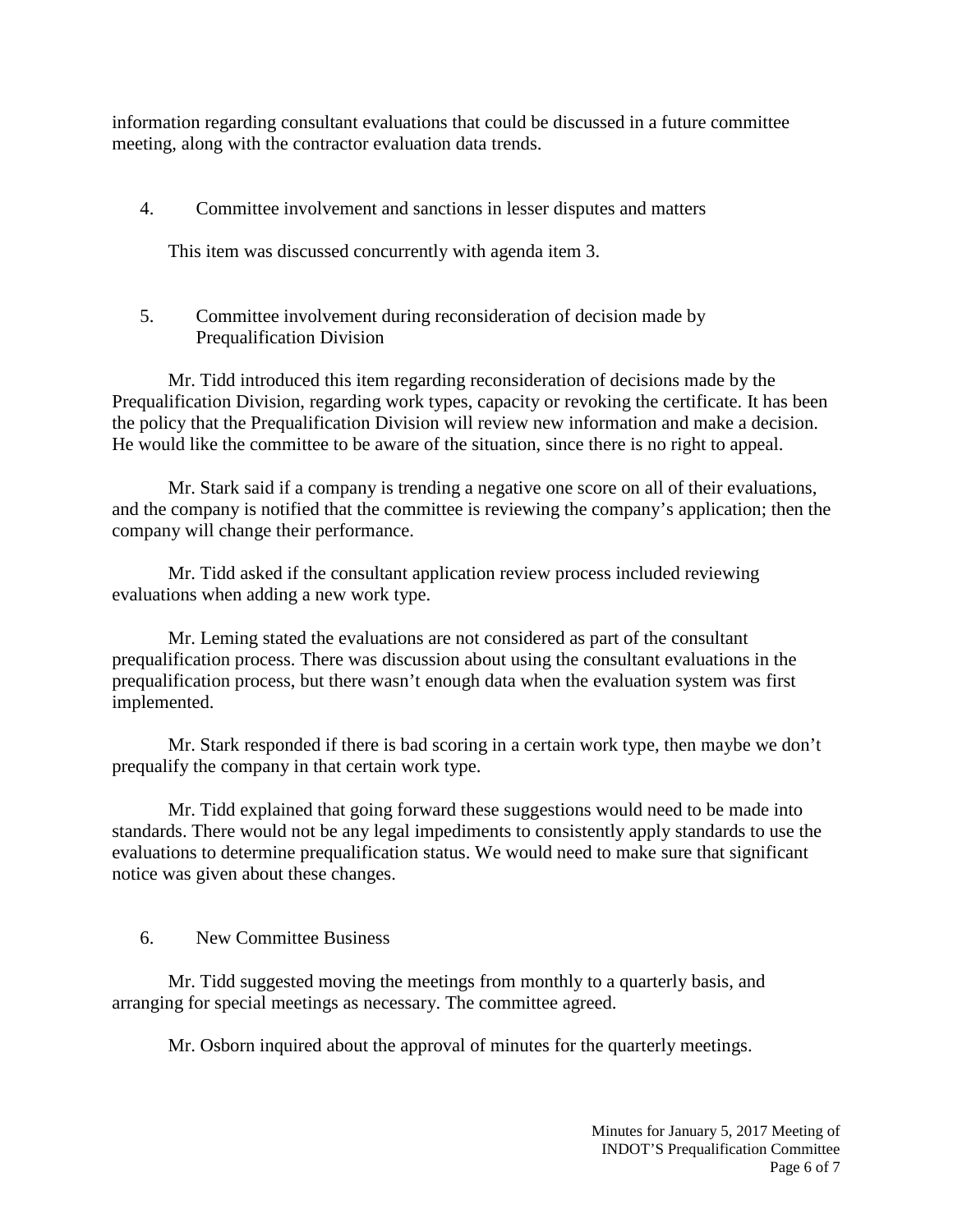information regarding consultant evaluations that could be discussed in a future committee meeting, along with the contractor evaluation data trends.

4. Committee involvement and sanctions in lesser disputes and matters

This item was discussed concurrently with agenda item 3.

5. Committee involvement during reconsideration of decision made by Prequalification Division

Mr. Tidd introduced this item regarding reconsideration of decisions made by the Prequalification Division, regarding work types, capacity or revoking the certificate. It has been the policy that the Prequalification Division will review new information and make a decision. He would like the committee to be aware of the situation, since there is no right to appeal.

Mr. Stark said if a company is trending a negative one score on all of their evaluations, and the company is notified that the committee is reviewing the company's application; then the company will change their performance.

Mr. Tidd asked if the consultant application review process included reviewing evaluations when adding a new work type.

Mr. Leming stated the evaluations are not considered as part of the consultant prequalification process. There was discussion about using the consultant evaluations in the prequalification process, but there wasn't enough data when the evaluation system was first implemented.

Mr. Stark responded if there is bad scoring in a certain work type, then maybe we don't prequalify the company in that certain work type.

Mr. Tidd explained that going forward these suggestions would need to be made into standards. There would not be any legal impediments to consistently apply standards to use the evaluations to determine prequalification status. We would need to make sure that significant notice was given about these changes.

6. New Committee Business

Mr. Tidd suggested moving the meetings from monthly to a quarterly basis, and arranging for special meetings as necessary. The committee agreed.

Mr. Osborn inquired about the approval of minutes for the quarterly meetings.